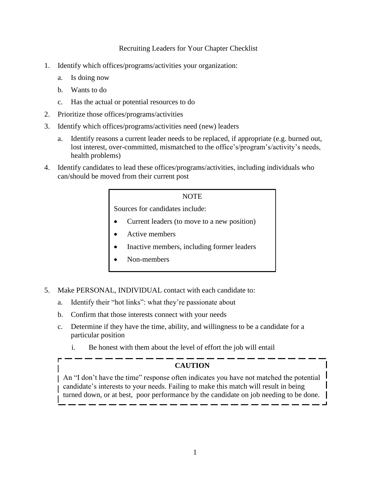## Recruiting Leaders for Your Chapter Checklist

- 1. Identify which offices/programs/activities your organization:
	- a. Is doing now
	- b. Wants to do
	- c. Has the actual or potential resources to do
- 2. Prioritize those offices/programs/activities
- 3. Identify which offices/programs/activities need (new) leaders
	- a. Identify reasons a current leader needs to be replaced, if appropriate (e.g. burned out, lost interest, over-committed, mismatched to the office's/program's/activity's needs, health problems)
- 4. Identify candidates to lead these offices/programs/activities, including individuals who can/should be moved from their current post

## **NOTE**

Sources for candidates include:

- Current leaders (to move to a new position)
- Active members
- Inactive members, including former leaders
- Non-members
- 5. Make PERSONAL, INDIVIDUAL contact with each candidate to:
	- a. Identify their "hot links": what they're passionate about
	- b. Confirm that those interests connect with your needs
	- c. Determine if they have the time, ability, and willingness to be a candidate for a particular position
		- i. Be honest with them about the level of effort the job will entail

## **CAUTION**

An "I don't have the time" response often indicates you have not matched the potential candidate's interests to your needs. Failing to make this match will result in being turned down, or at best, poor performance by the candidate on job needing to be done.